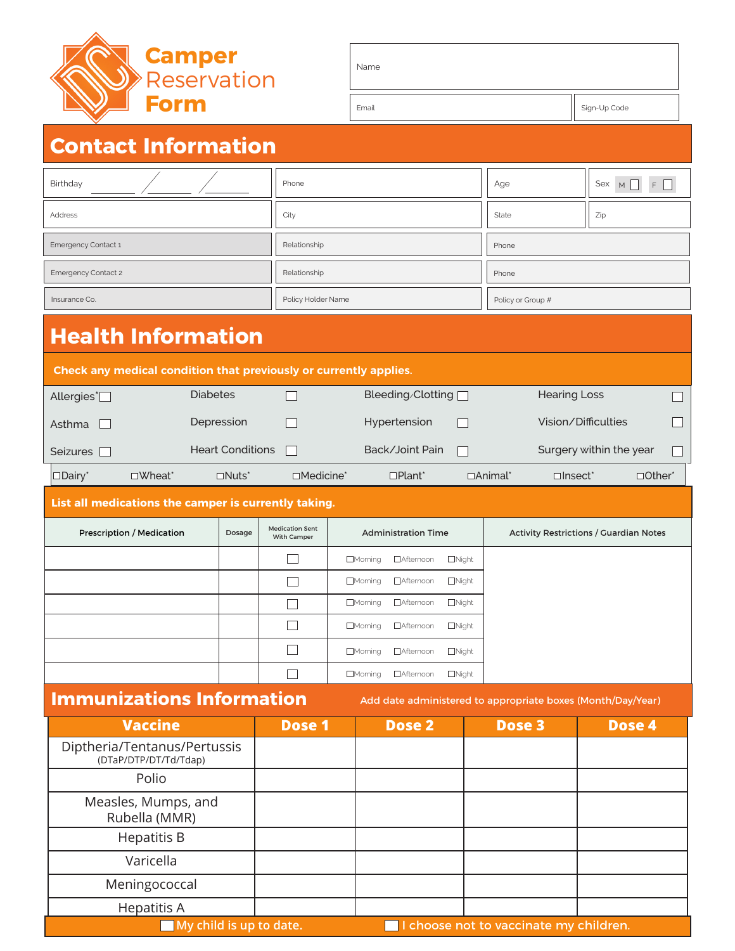

| Name  |              |
|-------|--------------|
| Email | Sign-Up Code |
|       |              |

# **Contact Information**

| Birthday            | Phone              | Age               | Sex $M \Box F \Box$ |  |
|---------------------|--------------------|-------------------|---------------------|--|
| Address             | City               | State             | Zip                 |  |
| Emergency Contact 1 | Relationship       | Phone             |                     |  |
| Emergency Contact 2 | Relationship       | Phone             |                     |  |
| Insurance Co.       | Policy Holder Name | Policy or Group # |                     |  |

# **Health Information**

| Check any medical condition that previously or currently applies. |                  |                          |                         |                           |                |                            |               |  |  |
|-------------------------------------------------------------------|------------------|--------------------------|-------------------------|---------------------------|----------------|----------------------------|---------------|--|--|
| Allergies <sup>*</sup> $\Box$                                     |                  | <b>Diabetes</b>          |                         | Bleeding/Clotting $\Box$  |                | <b>Hearing Loss</b>        |               |  |  |
| Asthma                                                            |                  | Depression               |                         | Hypertension              | $\mathbf{I}$   | Vision/Difficulties        |               |  |  |
| Seizures                                                          |                  | <b>Heart Conditions</b>  |                         | Back/Joint Pain<br>$\Box$ |                | Surgery within the year    |               |  |  |
| $\Box$ Dairy                                                      | $\square$ Wheat* | $\Box$ Nuts <sup>*</sup> | $\square$ Medicine $^*$ | $\Box$ Plant <sup>*</sup> | $\Box$ Animal* | $\Box$ Insect <sup>*</sup> | $\Box$ Other* |  |  |

#### **List all medications the camper is currently taking.**

| Prescription / Medication | Dosage | <b>Medication Sent</b><br>With Camper | <b>Administration Time</b>                           | <b>Activity Restrictions / Guardian Notes</b> |
|---------------------------|--------|---------------------------------------|------------------------------------------------------|-----------------------------------------------|
|                           |        |                                       | □Afternoon<br>$\Box$ Night<br>$\Box$ Morning         |                                               |
|                           |        |                                       | $\Box$ Morning<br>□Afternoon<br>$\Box$ Night         |                                               |
|                           |        |                                       | □Afternoon<br>$\Box$ Morning<br>$\Box$ Night         |                                               |
|                           |        |                                       | $\Box$ Morning<br><b>I</b> Afternoon<br>$\Box$ Night |                                               |
|                           |        |                                       | □Afternoon<br>$\Box$ Morning<br>$\Box$ Night         |                                               |
|                           |        |                                       | □Morning<br>□Afternoon<br>$\Box$ Night               |                                               |

## **Immunizations Information**

Add date administered to appropriate boxes (Month/Day/Year)

| <b>Vaccine</b>                                        | Dose 1 | Dose 2                                 | Dose 3 | Dose 4 |
|-------------------------------------------------------|--------|----------------------------------------|--------|--------|
| Diptheria/Tentanus/Pertussis<br>(DTaP/DTP/DT/Td/Tdap) |        |                                        |        |        |
| Polio                                                 |        |                                        |        |        |
| Measles, Mumps, and<br>Rubella (MMR)                  |        |                                        |        |        |
| <b>Hepatitis B</b>                                    |        |                                        |        |        |
| Varicella                                             |        |                                        |        |        |
| Meningococcal                                         |        |                                        |        |        |
| Hepatitis A                                           |        |                                        |        |        |
| My child is up to date.                               |        | I choose not to vaccinate my children. |        |        |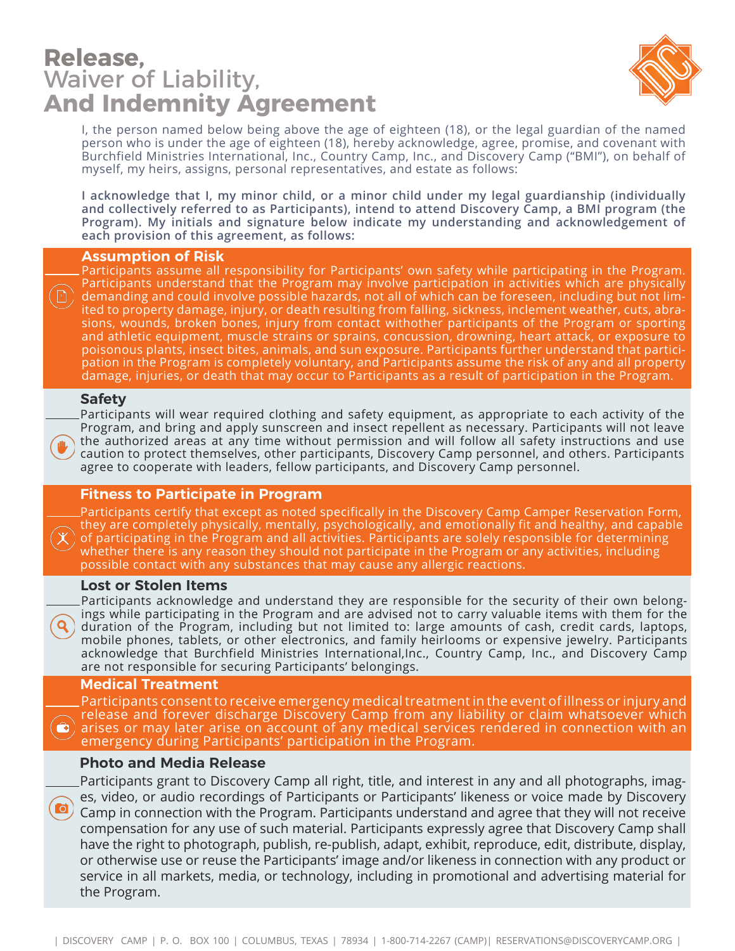### **Release,**  Waiver of Liability, **And Indemnity Agreement**



I, the person named below being above the age of eighteen (18), or the legal guardian of the named person who is under the age of eighteen (18), hereby acknowledge, agree, promise, and covenant with Burchfield Ministries International, Inc., Country Camp, Inc., and Discovery Camp ("BMI"), on behalf of myself, my heirs, assigns, personal representatives, and estate as follows:

**I acknowledge that I, my minor child, or a minor child under my legal guardianship (individually and collectively referred to as Participants), intend to attend Discovery Camp, a BMI program (the Program). My initials and signature below indicate my understanding and acknowledgement of each provision of this agreement, as follows:**

#### **Assumption of Risk**

Participants assume all responsibility for Participants' own safety while participating in the Program. Participants understand that the Program may involve participation in activities which are physically demanding and could involve possible hazards, not all of which can be foreseen, including but not limited to property damage, injury, or death resulting from falling, sickness, inclement weather, cuts, abrasions, wounds, broken bones, injury from contact withother participants of the Program or sporting and athletic equipment, muscle strains or sprains, concussion, drowning, heart attack, or exposure to poisonous plants, insect bites, animals, and sun exposure. Participants further understand that participation in the Program is completely voluntary, and Participants assume the risk of any and all property damage, injuries, or death that may occur to Participants as a result of participation in the Program.

#### **Safety**

 $\hfill\ensuremath{\square}$ 

Participants will wear required clothing and safety equipment, as appropriate to each activity of the Program, and bring and apply sunscreen and insect repellent as necessary. Participants will not leave the authorized areas at any time without permission and will follow all safety instructions and use caution to protect themselves, other participants, Discovery Camp personnel, and others. Participants agree to cooperate with leaders, fellow participants, and Discovery Camp personnel.

#### **Fitness to Participate in Program**

Participants certify that except as noted specifically in the Discovery Camp Camper Reservation Form, they are completely physically, mentally, psychologically, and emotionally fit and healthy, and capable of participating in the Program and all activities. Participants are solely responsible for determining whether there is any reason they should not participate in the Program or any activities, including possible contact with any substances that may cause any allergic reactions.

#### **Lost or Stolen Items**

Participants acknowledge and understand they are responsible for the security of their own belongings while participating in the Program and are advised not to carry valuable items with them for the duration of the Program, including but not limited to: large amounts of cash, credit cards, laptops, mobile phones, tablets, or other electronics, and family heirlooms or expensive jewelry. Participants acknowledge that Burchfield Ministries International,Inc., Country Camp, Inc., and Discovery Camp are not responsible for securing Participants' belongings.

#### **Medical Treatment**

Participants consent to receive emergency medical treatment in the event of illness or injury and release and forever discharge Discovery Camp from any liability or claim whatsoever which  $\bigcirc$  ) arises or may later arise on account of any medical services rendered in connection with an emergency during Participants' participation in the Program.

#### **Photo and Media Release**

Participants grant to Discovery Camp all right, title, and interest in any and all photographs, images, video, or audio recordings of Participants or Participants' likeness or voice made by Discovery Camp in connection with the Program. Participants understand and agree that they will not receive compensation for any use of such material. Participants expressly agree that Discovery Camp shall have the right to photograph, publish, re-publish, adapt, exhibit, reproduce, edit, distribute, display, or otherwise use or reuse the Participants' image and/or likeness in connection with any product or service in all markets, media, or technology, including in promotional and advertising material for the Program.